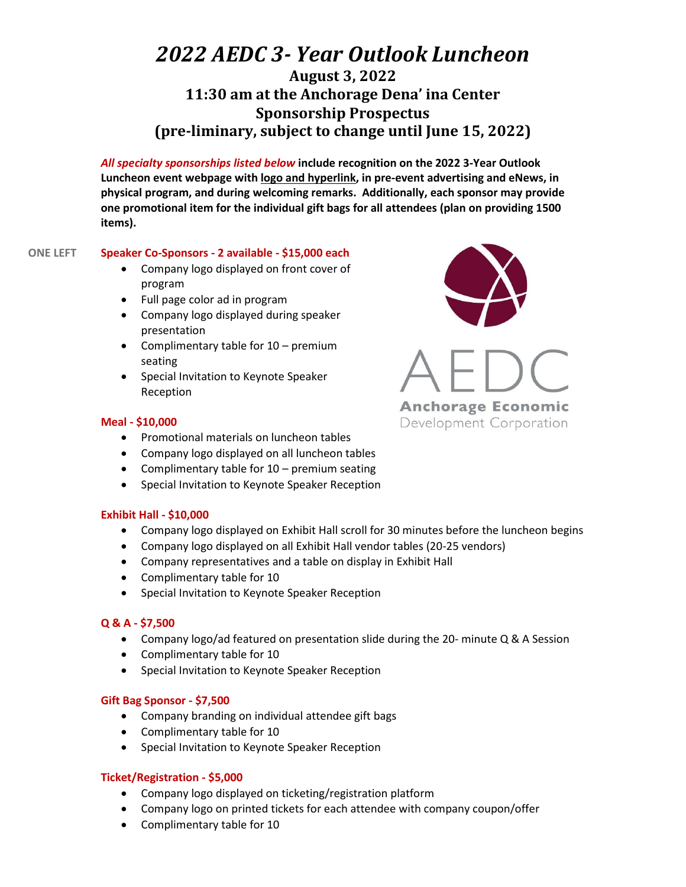# *2022 AEDC 3- Year Outlook Luncheon*

# **August 3, 2022 11:30 am at the Anchorage Dena' ina Center Sponsorship Prospectus (pre-liminary, subject to change until June 15, 2022)**

*All specialty sponsorships listed below* **include recognition on the 2022 3-Year Outlook Luncheon event webpage with logo and hyperlink, in pre-event advertising and eNews, in physical program, and during welcoming remarks. Additionally, each sponsor may provide one promotional item for the individual gift bags for all attendees (plan on providing 1500 items).**

# **ONE LEFT Speaker Co-Sponsors - 2 available - \$15,000 each**

- Company logo displayed on front cover of program
- Full page color ad in program
- Company logo displayed during speaker presentation
- Complimentary table for 10 premium seating
- Special Invitation to Keynote Speaker Reception

# **Meal - \$10,000**

- Promotional materials on luncheon tables
- Company logo displayed on all luncheon tables
- Complimentary table for 10 premium seating
- Special Invitation to Keynote Speaker Reception

# **Exhibit Hall - \$10,000**

- Company logo displayed on Exhibit Hall scroll for 30 minutes before the luncheon begins
- Company logo displayed on all Exhibit Hall vendor tables (20-25 vendors)
- Company representatives and a table on display in Exhibit Hall
- Complimentary table for 10
- Special Invitation to Keynote Speaker Reception

# **Q & A - \$7,500**

- Company logo/ad featured on presentation slide during the 20- minute Q & A Session
- Complimentary table for 10
- Special Invitation to Keynote Speaker Reception

# **Gift Bag Sponsor - \$7,500**

- Company branding on individual attendee gift bags
- Complimentary table for 10
- Special Invitation to Keynote Speaker Reception

# **Ticket/Registration - \$5,000**

- Company logo displayed on ticketing/registration platform
- Company logo on printed tickets for each attendee with company coupon/offer
- Complimentary table for 10